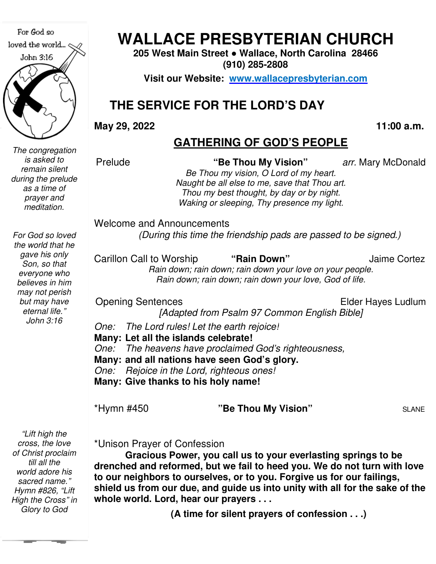For God so loved the world... John 3:16 

*The congregation is asked to remain silent during the prelude as a time of prayer and meditation.* 

**WALLACE PRESBYTERIAN CHURCH WALLACE PRESBYTERIAN CHURCH**

**205 West Main Street Street ● Wallace, North Carolina 28466 (910) 285-2808** 

**Visit our Website: www.wallacepresbyterian.com**

# **THE SERVICE FOR THE LORD'S DAY DAY**

**May 29, 2022** 

 **11:00 a.m.**

#### **GATHERING OF GOD'S PEOPLE**

Prelude

 **"Be Thou My Vision"** *arr.* Mary McDonal

*Be Thou my vision, O Lord of my heart heart. Naught be all else to me, save that Thou art. Thou my best thought, by day or by nigh Thou night. Waking or sleeping, Thy presence my light light.* 

Welcome and Announcements and Announcements

*(During this time the friendship pads are passed to be signed.)*

Carillon Call to Worship *Rain down; rain down; rain down your love on your people. Rain down; rain down; rain down your love, God of life down; rain life.* "Rain Down" Jaime Cortez

Opening Sentences

Elder Hayes Ludlum Ludlum

*[Adapted from Psalm 97 Common English Bible] [Adapted* 

*One: The Lord rules! Let the earth rejoice!*

**Many: Let all the islands celebrate!**

*One: The heavens have proclaimed God's righteousness,* **Let all the isl**<br>The heavens<br>**and all natio**<br>*Rejoice in the*<br>**Give thanks** 

**Many: and all nations have seen God's glory.**

*One: Rejoice in the Lord, righteous ones!*

**Many: Give thanks to his holy name!**

\*Hymn #450 **"Be Thou My Vision"** 

SLANE

 *Hymn #826, "Lift "Lift high the cross, the love of Christ proclaim till all the world adore his sacred name." High the Cross" in Glory to God* 

\*Unison Prayer of Confession

**Gracious Power, you call us to your everlasting springs to be drenched and reformed, but we fail to heed you. We do not turn with love to our neighbors to ourselves, or to you. Forgive us for our failings,**  Gracious Power, you call us to your everlasting springs to be<br>drenched and reformed, but we fail to heed you. We do not turn with love<br>to our neighbors to ourselves, or to you. Forgive us for our failings,<br>shield us from o **whole world. Lord, hear our prayers . . . . Ee Thou My Vision**; arr. Mary McDonald<br> **Be Thou my vision**, 0 Lord of my heart.<br>
Thou my vision, 0 Lord of my heart.<br>
Thou any hest thought, by day or by night.<br>
Waking or sleeping. Thy presence my light.<br> **A model i Gracious Power, you call us to your everlastined and reformed, but we fail to heed you. We neighbors to ourselves, or to you. Forgive us us from our due, and guide us into unity with** 

**(A time for silent prayers of confession . . .)**

*For God so loved the world that he gave his only Son, so that everyone who believes in him may not perish but may have eternal life." John 3:16*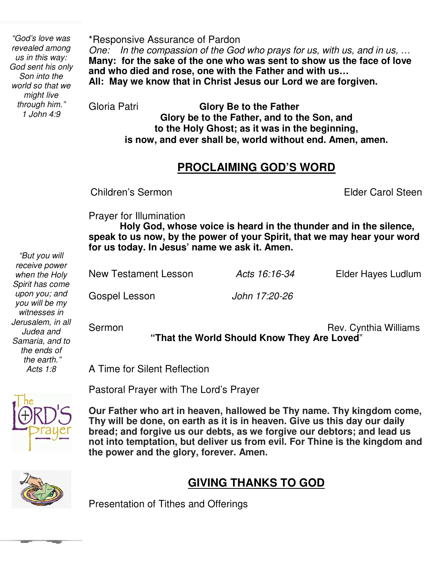*through him." "God's love was revealed among us in this way: God sent his only Son into the world so that we might live 1 John 4:9* 

\*Responsive Assurance of Pardon *One: In the compassion of the God who prays for us, with us, and in us, …*  **Many: for the sake of the one who was sent to show us the face of love and who died and rose, one with the Father and with us… All: May we know that in Christ Jesus our Lord we are forgiven.** 

Gloria Patri **Glory Be to the Father Glory be to the Father, and to the Son, and to the Holy Ghost; as it was in the beginning, is now, and ever shall be, world without end. Amen, amen.** 

#### **PROCLAIMING GOD'S WORD**

Children's Sermon

**Elder Carol Steen** 

Prayer for Illumination

 **speak to us now, by the power of your Spirit, that we may hear your word Holy God, whose voice is heard in the thunder and in the silence, for us today. In Jesus' name we ask it. Amen.** 

New Testament Lesson *Acts 16:16-34* Elder Hayes Ludlum

Gospel Lesson *John 17:20-26*

Sermon **Rev. Cynthia Williams "That the World Should Know They Are Loved**"

A Time for Silent Reflection



Pastoral Prayer with The Lord's Prayer

 **bread; and forgive us our debts, as we forgive our debtors; and lead us Our Father who art in heaven, hallowed be Thy name. Thy kingdom come, Thy will be done, on earth as it is in heaven. Give us this day our daily not into temptation, but deliver us from evil. For Thine is the kingdom and the power and the glory, forever. Amen.** 



## **GIVING THANKS TO GOD**

Presentation of Tithes and Offerings

 *"But you will receive power when the Holy Spirit has come upon you; and you will be my witnesses in Jerusalem, in all Judea and Samaria, and to the ends of the earth." Acts 1:8*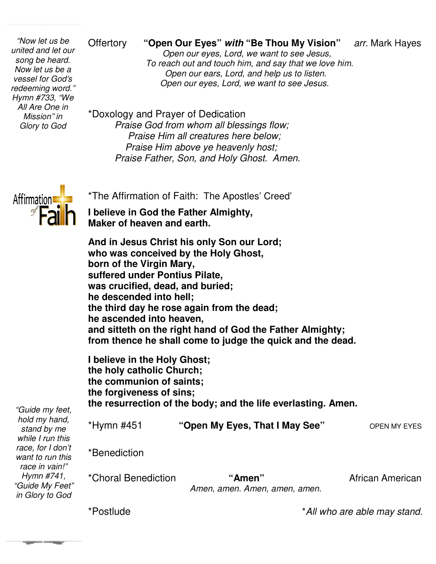*vessel for God's "Now let us be united and let our song be heard. Now let us be a redeeming word." Hymn #733, "We All Are One in Mission" in Glory to God* 

#### **Offertory** "Open Our Eyes" with "Be Thou My Vision" arr. Mark Hayes

 *Open our eyes, Lord, we want to see Jesus Jesus, To reach out and touch him, and say that we love him. Open our ears, Lord, and help us to listen. Open our eyes, Lord, we want to see Jesus Jesus.*  **Example 20 Offertory "Open Our Eyes" with "Be Thou My Vision"** arr. Mark Ha<br> *Open our eyes, Lord, we want to see Jesus,<br>
To reach out and touch him, and say that we love him.<br>
<i>A*'s *Dpen our ears, Lord, and help us to* 

\*Doxology and Prayer of Dedication *Praise God from whom all blessings flow; Praise Him all creatures here below; Praise Him above ye heavenly host; Praise Father, Son, and Holy Ghost. Amen. below;Praise Father, Son,* 



*"Guide my feet,* 

\*The Affirmation of Faith: The Apostles' Creed'

**I believe in God the Father Almighty, Maker of heaven and earth.**

**And in Jesus Christ his only Son our Lord; who was conceived by the Holy Ghost, born of the Virgin Mary, suffered under Pontius Pilate, was crucified, dead, and buried; he descended into hell; the third day he rose again from the dead; he ascended into heaven, and sitteth on the right hand of God the Father Almighty; from thence he shall come to judge the quick and the dead.** heaven and earth.<br> **heaven Schault Assets:**<br> **heavies Christ his only Son our Lord;**<br> **heaving Virgin Mary,**<br> **under Pontius Pilate,<br>
ified, dead, and buried;<br>
nded into hell;<br>
day he rose again from the dead;** 

**I believe in the Holy Ghost; the holy catholic Church; the communion of saints; the forgiveness of sins; the resurrection of the body; ascended into heaven,<br>d sitteth on the right hand of God the Father Almighty;<br>m thence he shall come to judge the quick and the dead.<br>elieve in the Holy Ghost;<br>holy catholic Church;<br>communion of saints;<br>forgiveness of sin** 

| hold my hand,<br>stand by me<br>while I run this        | *Hymn #451          | "Open My Eyes, That I May See"          | OPEN MY EYES     |
|---------------------------------------------------------|---------------------|-----------------------------------------|------------------|
| race, for I don't<br>want to run this<br>race in vain!" | *Benediction        |                                         |                  |
| Hymn #741,<br>"Guide My Feet"<br>in Glory to God        | *Choral Benediction | "Amen"<br>Amen, amen. Amen, amen, amen. | African American |

\*Postlude

\**All who are able may stand. stand.*